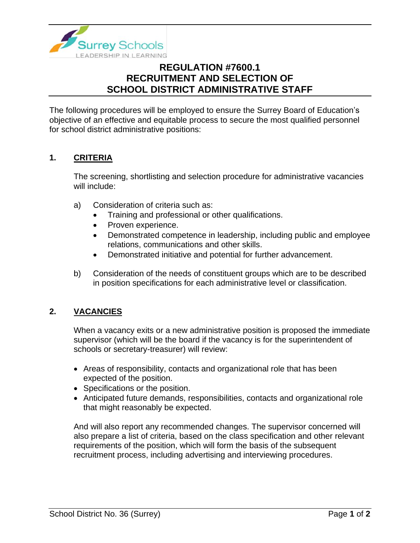

# **REGULATION #7600.1 RECRUITMENT AND SELECTION OF SCHOOL DISTRICT ADMINISTRATIVE STAFF**

The following procedures will be employed to ensure the Surrey Board of Education's objective of an effective and equitable process to secure the most qualified personnel for school district administrative positions:

# **1. CRITERIA**

The screening, shortlisting and selection procedure for administrative vacancies will include:

- a) Consideration of criteria such as:
	- Training and professional or other qualifications.
	- Proven experience.
	- Demonstrated competence in leadership, including public and employee relations, communications and other skills.
	- Demonstrated initiative and potential for further advancement.
- b) Consideration of the needs of constituent groups which are to be described in position specifications for each administrative level or classification.

# **2. VACANCIES**

When a vacancy exits or a new administrative position is proposed the immediate supervisor (which will be the board if the vacancy is for the superintendent of schools or secretary-treasurer) will review:

- Areas of responsibility, contacts and organizational role that has been expected of the position.
- Specifications or the position.
- Anticipated future demands, responsibilities, contacts and organizational role that might reasonably be expected.

And will also report any recommended changes. The supervisor concerned will also prepare a list of criteria, based on the class specification and other relevant requirements of the position, which will form the basis of the subsequent recruitment process, including advertising and interviewing procedures.